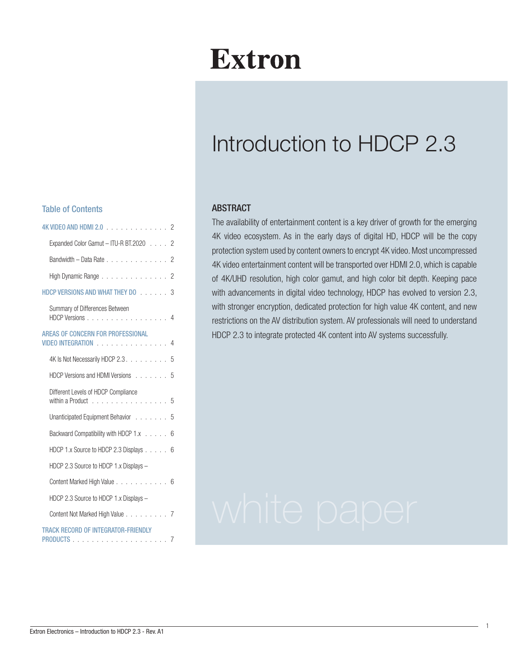# **Extron**

# Introduction to HDCP 2.3

#### **ABSTRACT**

The availability of entertainment content is a key driver of growth for the emerging 4K video ecosystem. As in the early days of digital HD, HDCP will be the copy protection system used by content owners to encrypt 4K video. Most uncompressed 4K video entertainment content will be transported over HDMI 2.0, which is capable of 4K/UHD resolution, high color gamut, and high color bit depth. Keeping pace with advancements in digital video technology, HDCP has evolved to version 2.3, with stronger encryption, dedicated protection for high value 4K content, and new restrictions on the AV distribution system. AV professionals will need to understand HDCP 2.3 to integrate protected 4K content into AV systems successfully.

#### Table of Contents

| 4K VIDEO AND HDMI 2.0<br>2                                                                                                                                                                                                                                               |
|--------------------------------------------------------------------------------------------------------------------------------------------------------------------------------------------------------------------------------------------------------------------------|
| Expanded Color Gamut - ITU-R BT.2020 2                                                                                                                                                                                                                                   |
| Bandwidth - Data Rate 2                                                                                                                                                                                                                                                  |
|                                                                                                                                                                                                                                                                          |
| High Dynamic Range 2                                                                                                                                                                                                                                                     |
| HDCP VERSIONS AND WHAT THEY DO 3                                                                                                                                                                                                                                         |
| Summary of Differences Between<br>HDCP Versions 4                                                                                                                                                                                                                        |
| AREAS OF CONCERN FOR PROFESSIONAL<br>VIDEO INTEGRATION And a series and a series of the series of the series of the series of the series of the series of the series of the series of the series of the series of the series of the series of the series of the ser<br>4 |
| 4K Is Not Necessarily HDCP 2.3.<br>5                                                                                                                                                                                                                                     |
| HDCP Versions and HDMI Versions<br>5                                                                                                                                                                                                                                     |
| Different Levels of HDCP Compliance<br>within a Product 5                                                                                                                                                                                                                |
| Unanticipated Equipment Behavior 5                                                                                                                                                                                                                                       |
| Backward Compatibility with HDCP 1.x<br>6                                                                                                                                                                                                                                |
| HDCP 1.x Source to HDCP 2.3 Displays 6                                                                                                                                                                                                                                   |
| HDCP 2.3 Source to HDCP 1.x Displays -                                                                                                                                                                                                                                   |
| Content Marked High Value 6                                                                                                                                                                                                                                              |
| HDCP 2.3 Source to HDCP 1.x Displays -                                                                                                                                                                                                                                   |
| Content Not Marked High Value 7                                                                                                                                                                                                                                          |
| TRACK RECORD OF INTEGRATOR-FRIENDLY                                                                                                                                                                                                                                      |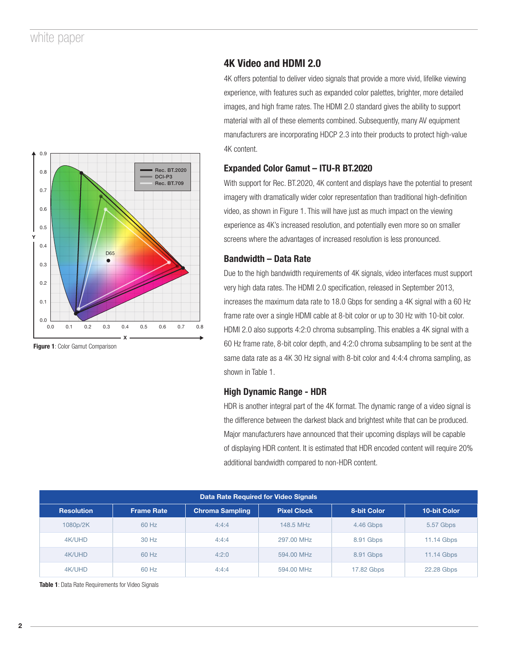

#### Figure 1: Color Gamut Comparison

#### 4K Video and HDMI 2.0

4K offers potential to deliver video signals that provide a more vivid, lifelike viewing experience, with features such as expanded color palettes, brighter, more detailed images, and high frame rates. The HDMI 2.0 standard gives the ability to support material with all of these elements combined. Subsequently, many AV equipment manufacturers are incorporating HDCP 2.3 into their products to protect high-value 4K content.

#### Expanded Color Gamut – ITU-R BT.2020

With support for Rec. BT.2020, 4K content and displays have the potential to present imagery with dramatically wider color representation than traditional high-definition video, as shown in Figure 1. This will have just as much impact on the viewing experience as 4K's increased resolution, and potentially even more so on smaller screens where the advantages of increased resolution is less pronounced.

#### Bandwidth – Data Rate

Due to the high bandwidth requirements of 4K signals, video interfaces must support very high data rates. The HDMI 2.0 specification, released in September 2013, increases the maximum data rate to 18.0 Gbps for sending a 4K signal with a 60 Hz frame rate over a single HDMI cable at 8-bit color or up to 30 Hz with 10-bit color. HDMI 2.0 also supports 4:2:0 chroma subsampling. This enables a 4K signal with a 60 Hz frame rate, 8-bit color depth, and 4:2:0 chroma subsampling to be sent at the same data rate as a 4K 30 Hz signal with 8-bit color and 4:4:4 chroma sampling, as shown in Table 1.

#### High Dynamic Range - HDR

HDR is another integral part of the 4K format. The dynamic range of a video signal is the difference between the darkest black and brightest white that can be produced. Major manufacturers have announced that their upcoming displays will be capable of displaying HDR content. It is estimated that HDR encoded content will require 20% additional bandwidth compared to non-HDR content.

|                   |                   |                        | Data Rate Required for Video Signals |             |                     |
|-------------------|-------------------|------------------------|--------------------------------------|-------------|---------------------|
| <b>Resolution</b> | <b>Frame Rate</b> | <b>Chroma Sampling</b> | <b>Pixel Clock</b>                   | 8-bit Color | <b>10-bit Color</b> |
| 1080p/2K          | 60 Hz             | 4:4:4                  | 148.5 MHz                            | 4.46 Gbps   | 5.57 Gbps           |
| 4K/UHD            | 30 Hz             | 4:4:4                  | 297.00 MHz                           | 8.91 Gbps   | 11.14 Gbps          |
| 4K/UHD            | 60 Hz             | 4:2:0                  | 594.00 MHz                           | 8.91 Gbps   | 11.14 Gbps          |
| 4K/UHD            | 60 Hz             | 4:4:4                  | 594.00 MHz                           | 17.82 Gbps  | 22.28 Gbps          |

Table 1: Data Rate Requirements for Video Signals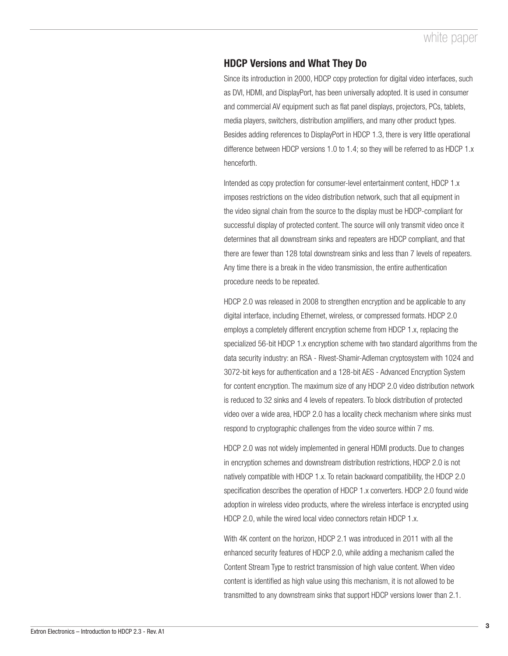# HDCP Versions and What They Do

Since its introduction in 2000, HDCP copy protection for digital video interfaces, such as DVI, HDMI, and DisplayPort, has been universally adopted. It is used in consumer and commercial AV equipment such as flat panel displays, projectors, PCs, tablets, media players, switchers, distribution amplifiers, and many other product types. Besides adding references to DisplayPort in HDCP 1.3, there is very little operational difference between HDCP versions 1.0 to 1.4; so they will be referred to as HDCP 1.x henceforth.

Intended as copy protection for consumer-level entertainment content, HDCP 1.x imposes restrictions on the video distribution network, such that all equipment in the video signal chain from the source to the display must be HDCP-compliant for successful display of protected content. The source will only transmit video once it determines that all downstream sinks and repeaters are HDCP compliant, and that there are fewer than 128 total downstream sinks and less than 7 levels of repeaters. Any time there is a break in the video transmission, the entire authentication procedure needs to be repeated.

HDCP 2.0 was released in 2008 to strengthen encryption and be applicable to any digital interface, including Ethernet, wireless, or compressed formats. HDCP 2.0 employs a completely different encryption scheme from HDCP 1.x, replacing the specialized 56-bit HDCP 1.x encryption scheme with two standard algorithms from the data security industry: an RSA - Rivest-Shamir-Adleman cryptosystem with 1024 and 3072-bit keys for authentication and a 128-bit AES - Advanced Encryption System for content encryption. The maximum size of any HDCP 2.0 video distribution network is reduced to 32 sinks and 4 levels of repeaters. To block distribution of protected video over a wide area, HDCP 2.0 has a locality check mechanism where sinks must respond to cryptographic challenges from the video source within 7 ms.

HDCP 2.0 was not widely implemented in general HDMI products. Due to changes in encryption schemes and downstream distribution restrictions, HDCP 2.0 is not natively compatible with HDCP 1.x. To retain backward compatibility, the HDCP 2.0 specification describes the operation of HDCP 1.x converters. HDCP 2.0 found wide adoption in wireless video products, where the wireless interface is encrypted using HDCP 2.0, while the wired local video connectors retain HDCP 1.x.

With 4K content on the horizon, HDCP 2.1 was introduced in 2011 with all the enhanced security features of HDCP 2.0, while adding a mechanism called the Content Stream Type to restrict transmission of high value content. When video content is identified as high value using this mechanism, it is not allowed to be transmitted to any downstream sinks that support HDCP versions lower than 2.1.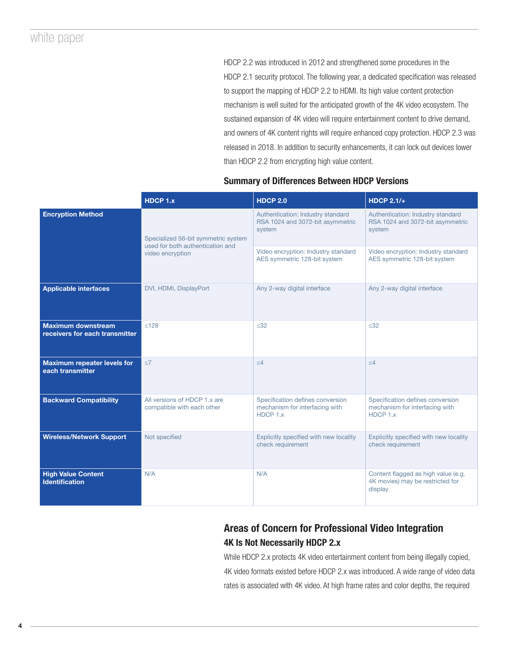HDCP 2.2 was introduced in 2012 and strengthened some procedures in the HDCP 2.1 security protocol. The following year, a dedicated specification was released to support the mapping of HDCP 2.2 to HDMI. Its high value content protection mechanism is well suited for the anticipated growth of the 4K video ecosystem. The sustained expansion of 4K video will require entertainment content to drive demand, and owners of 4K content rights will require enhanced copy protection. HDCP 2.3 was released in 2018. In addition to security enhancements, it can lock out devices lower than HDCP 2.2 from encrypting high value content.

## Summary of Differences Between HDCP Versions

|                                                             | HDCP 1.x                                                                | <b>HDCP 2.0</b>                                                                 | <b>HDCP 2.1/+</b>                                                                  |
|-------------------------------------------------------------|-------------------------------------------------------------------------|---------------------------------------------------------------------------------|------------------------------------------------------------------------------------|
| <b>Encryption Method</b>                                    | Specialized 56-bit symmetric system<br>used for both authentication and | Authentication: Industry standard<br>RSA 1024 and 3072-bit asymmetric<br>system | Authentication: Industry standard<br>RSA 1024 and 3072-bit asymmetric<br>system    |
|                                                             | video encryption                                                        | Video encryption: Industry standard<br>AES symmetric 128-bit system             | Video encryption: Industry standard<br>AES symmetric 128-bit system                |
| <b>Applicable interfaces</b>                                | DVI, HDMI, DisplayPort                                                  | Any 2-way digital interface                                                     | Any 2-way digital interface                                                        |
| <b>Maximum downstream</b><br>receivers for each transmitter | < 128                                                                   | $32$                                                                            | < 32                                                                               |
| <b>Maximum repeater levels for</b><br>each transmitter      | <7                                                                      | $\leq 4$                                                                        | $\leq 4$                                                                           |
| <b>Backward Compatibility</b>                               | All versions of HDCP 1.x are<br>compatible with each other              | Specification defines conversion<br>mechanism for interfacing with<br>HDCP 1.x  | Specification defines conversion<br>mechanism for interfacing with<br>HDCP 1.x     |
| <b>Wireless/Network Support</b>                             | Not specified                                                           | Explicitly specified with new locality<br>check requirement                     | Explicitly specified with new locality<br>check requirement                        |
| <b>High Value Content</b><br><b>Identification</b>          | N/A                                                                     | N/A                                                                             | Content flagged as high value (e.g.<br>4K movies) may be restricted for<br>display |

# Areas of Concern for Professional Video Integration 4K Is Not Necessarily HDCP 2.x

While HDCP 2.x protects 4K video entertainment content from being illegally copied, 4K video formats existed before HDCP 2.x was introduced. A wide range of video data rates is associated with 4K video. At high frame rates and color depths, the required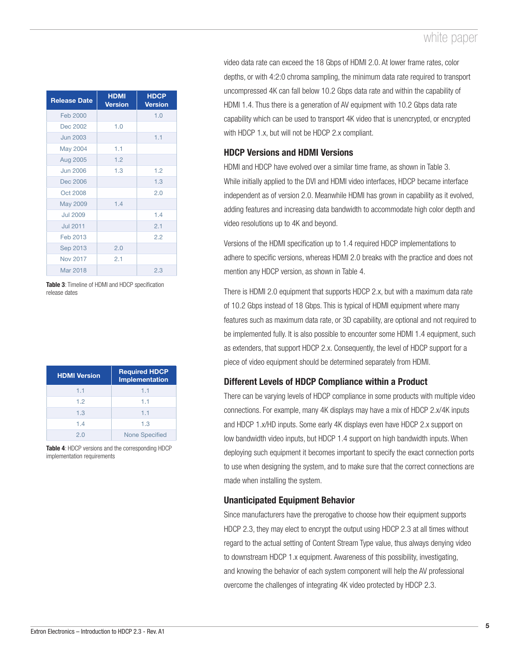| <b>Release Date</b> | <b>HDMI</b><br><b>Version</b> | <b>HDCP</b><br><b>Version</b> |
|---------------------|-------------------------------|-------------------------------|
| Feb 2000            |                               | 1.0                           |
| Dec 2002            | 1.0                           |                               |
| <b>Jun 2003</b>     |                               | 1.1                           |
| May 2004            | 1.1                           |                               |
| Aug 2005            | 1.2                           |                               |
| <b>Jun 2006</b>     | 1.3                           | 1.2                           |
| Dec 2006            |                               | 1.3                           |
| Oct 2008            |                               | 2.0                           |
| May 2009            | 1.4                           |                               |
| <b>Jul 2009</b>     |                               | 1.4                           |
| <b>Jul 2011</b>     |                               | 2.1                           |
| Feb 2013            |                               | 2.2                           |
| Sep 2013            | 2.0                           |                               |
| <b>Nov 2017</b>     | 2.1                           |                               |
| Mar 2018            |                               | 2.3                           |

Table 3: Timeline of HDMI and HDCP specification release dates

| <b>HDMI Version</b> | <b>Required HDCP</b><br><b>Implementation</b> |
|---------------------|-----------------------------------------------|
| 1.1                 | 1.1                                           |
| 1.2                 | 1.1                                           |
| 1.3                 | 1.1                                           |
| 1.4                 | 1.3                                           |
| 2.0                 | <b>None Specified</b>                         |

Table 4: HDCP versions and the corresponding HDCP implementation requirements

video data rate can exceed the 18 Gbps of HDMI 2.0. At lower frame rates, color depths, or with 4:2:0 chroma sampling, the minimum data rate required to transport uncompressed 4K can fall below 10.2 Gbps data rate and within the capability of HDMI 1.4. Thus there is a generation of AV equipment with 10.2 Gbps data rate capability which can be used to transport 4K video that is unencrypted, or encrypted with HDCP 1.x, but will not be HDCP 2.x compliant.

# HDCP Versions and HDMI Versions

HDMI and HDCP have evolved over a similar time frame, as shown in Table 3. While initially applied to the DVI and HDMI video interfaces, HDCP became interface independent as of version 2.0. Meanwhile HDMI has grown in capability as it evolved, adding features and increasing data bandwidth to accommodate high color depth and video resolutions up to 4K and beyond.

Versions of the HDMI specification up to 1.4 required HDCP implementations to adhere to specific versions, whereas HDMI 2.0 breaks with the practice and does not mention any HDCP version, as shown in Table 4.

There is HDMI 2.0 equipment that supports HDCP 2.x, but with a maximum data rate of 10.2 Gbps instead of 18 Gbps. This is typical of HDMI equipment where many features such as maximum data rate, or 3D capability, are optional and not required to be implemented fully. It is also possible to encounter some HDMI 1.4 equipment, such as extenders, that support HDCP 2.x. Consequently, the level of HDCP support for a piece of video equipment should be determined separately from HDMI.

## Different Levels of HDCP Compliance within a Product

There can be varying levels of HDCP compliance in some products with multiple video connections. For example, many 4K displays may have a mix of HDCP 2.x/4K inputs and HDCP 1.x/HD inputs. Some early 4K displays even have HDCP 2.x support on low bandwidth video inputs, but HDCP 1.4 support on high bandwidth inputs. When deploying such equipment it becomes important to specify the exact connection ports to use when designing the system, and to make sure that the correct connections are made when installing the system.

# Unanticipated Equipment Behavior

Since manufacturers have the prerogative to choose how their equipment supports HDCP 2.3, they may elect to encrypt the output using HDCP 2.3 at all times without regard to the actual setting of Content Stream Type value, thus always denying video to downstream HDCP 1.x equipment. Awareness of this possibility, investigating, and knowing the behavior of each system component will help the AV professional overcome the challenges of integrating 4K video protected by HDCP 2.3.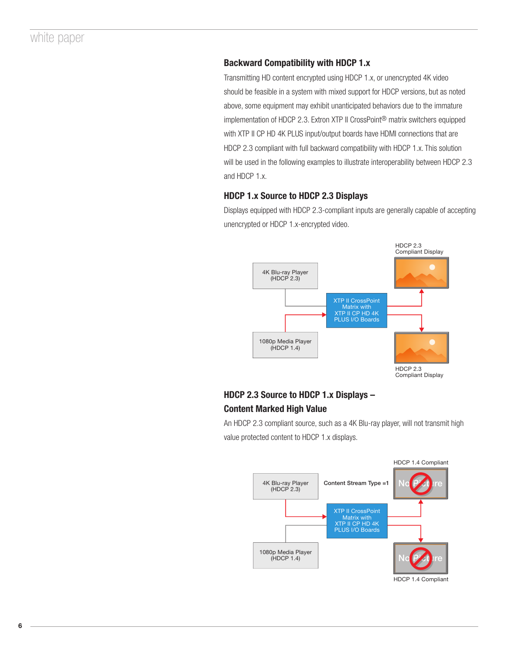# Backward Compatibility with HDCP 1.x

Transmitting HD content encrypted using HDCP 1.x, or unencrypted 4K video should be feasible in a system with mixed support for HDCP versions, but as noted above, some equipment may exhibit unanticipated behaviors due to the immature implementation of HDCP 2.3. Extron XTP II CrossPoint® matrix switchers equipped with XTP II CP HD 4K PLUS input/output boards have HDMI connections that are HDCP 2.3 compliant with full backward compatibility with HDCP 1.x. This solution will be used in the following examples to illustrate interoperability between HDCP 2.3 and HDCP 1.x.

## HDCP 1.x Source to HDCP 2.3 Displays

Displays equipped with HDCP 2.3-compliant inputs are generally capable of accepting unencrypted or HDCP 1.x-encrypted video.



# HDCP 2.3 Source to HDCP 1.x Displays – Content Marked High Value

An HDCP 2.3 compliant source, such as a 4K Blu-ray player, will not transmit high value protected content to HDCP 1.x displays.



6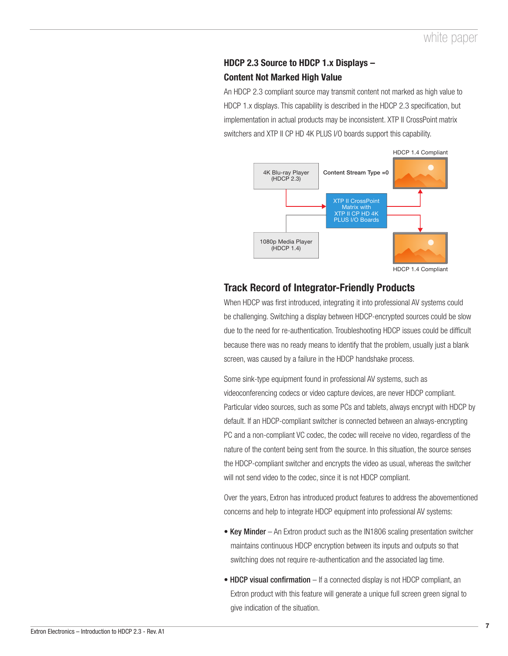# HDCP 2.3 Source to HDCP 1.x Displays – Content Not Marked High Value

An HDCP 2.3 compliant source may transmit content not marked as high value to HDCP 1.x displays. This capability is described in the HDCP 2.3 specification, but implementation in actual products may be inconsistent. XTP II CrossPoint matrix switchers and XTP II CP HD 4K PLUS I/O boards support this capability.



# Track Record of Integrator-Friendly Products

When HDCP was first introduced, integrating it into professional AV systems could be challenging. Switching a display between HDCP-encrypted sources could be slow due to the need for re-authentication. Troubleshooting HDCP issues could be difficult because there was no ready means to identify that the problem, usually just a blank screen, was caused by a failure in the HDCP handshake process.

Some sink-type equipment found in professional AV systems, such as videoconferencing codecs or video capture devices, are never HDCP compliant. Particular video sources, such as some PCs and tablets, always encrypt with HDCP by default. If an HDCP-compliant switcher is connected between an always-encrypting PC and a non-compliant VC codec, the codec will receive no video, regardless of the nature of the content being sent from the source. In this situation, the source senses the HDCP-compliant switcher and encrypts the video as usual, whereas the switcher will not send video to the codec, since it is not HDCP compliant.

Over the years, Extron has introduced product features to address the abovementioned concerns and help to integrate HDCP equipment into professional AV systems:

- Key Minder An Extron product such as the IN1806 scaling presentation switcher maintains continuous HDCP encryption between its inputs and outputs so that switching does not require re-authentication and the associated lag time.
- HDCP visual confirmation If a connected display is not HDCP compliant, an Extron product with this feature will generate a unique full screen green signal to give indication of the situation.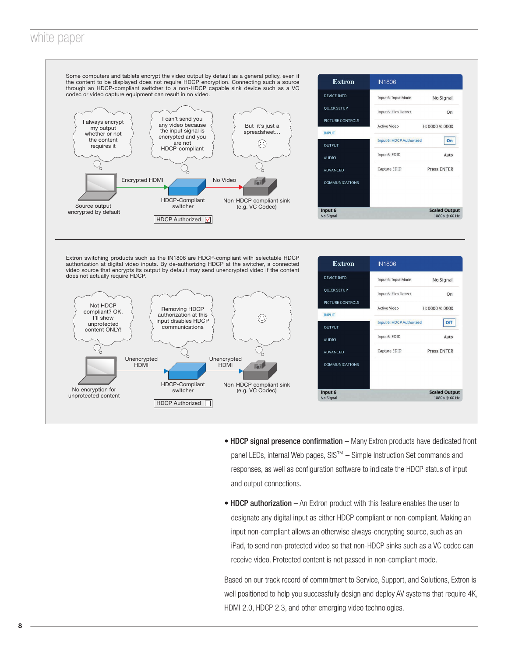

- HDCP signal presence confirmation Many Extron products have dedicated front panel LEDs, internal Web pages, SIS™ – Simple Instruction Set commands and responses, as well as configuration software to indicate the HDCP status of input and output connections.
- HDCP authorization An Extron product with this feature enables the user to designate any digital input as either HDCP compliant or non-compliant. Making an input non-compliant allows an otherwise always-encrypting source, such as an iPad, to send non-protected video so that non-HDCP sinks such as a VC codec can receive video. Protected content is not passed in non-compliant mode.

Based on our track record of commitment to Service, Support, and Solutions, Extron is well positioned to help you successfully design and deploy AV systems that require 4K, HDMI 2.0, HDCP 2.3, and other emerging video technologies.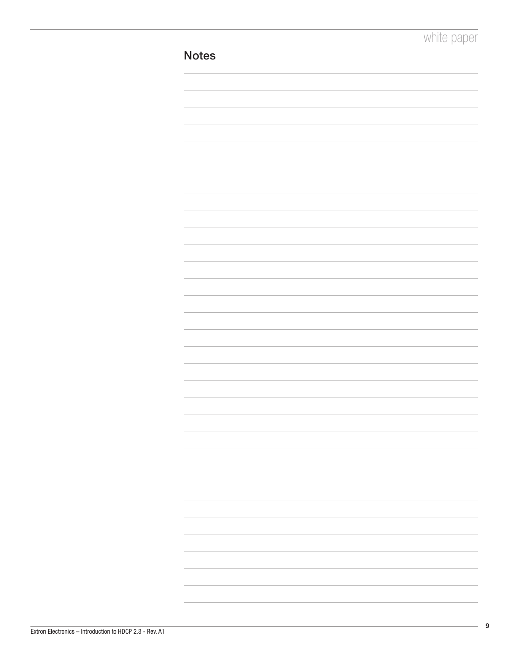| <b>Notes</b> |  |
|--------------|--|
|              |  |
|              |  |
|              |  |
|              |  |
|              |  |
|              |  |
|              |  |
|              |  |
|              |  |
|              |  |
|              |  |
|              |  |
|              |  |
|              |  |
|              |  |
|              |  |
|              |  |
|              |  |
|              |  |
|              |  |
|              |  |
|              |  |
|              |  |
|              |  |
|              |  |
|              |  |
|              |  |
|              |  |
|              |  |
|              |  |
|              |  |
|              |  |
|              |  |
|              |  |
|              |  |
|              |  |